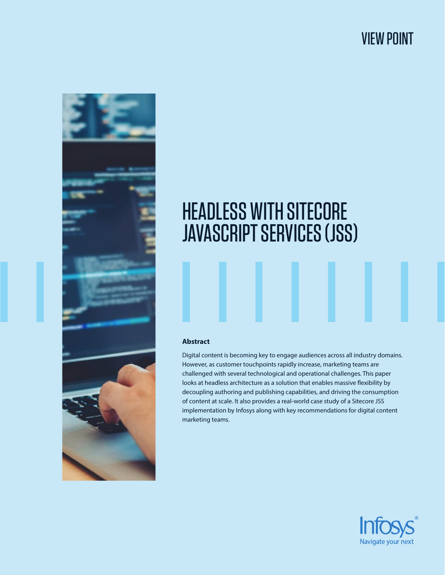# VIEW POINT



# HEADLESS WITH SITECORE JAVASCRIPT SERVICES (JSS)

# **Abstract**

Digital content is becoming key to engage audiences across all industry domains. However, as customer touchpoints rapidly increase, marketing teams are challenged with several technological and operational challenges. This paper looks at headless architecture as a solution that enables massive flexibility by decoupling authoring and publishing capabilities, and driving the consumption of content at scale. It also provides a real-world case study of a Sitecore JSS implementation by Infosys along with key recommendations for digital content marketing teams.

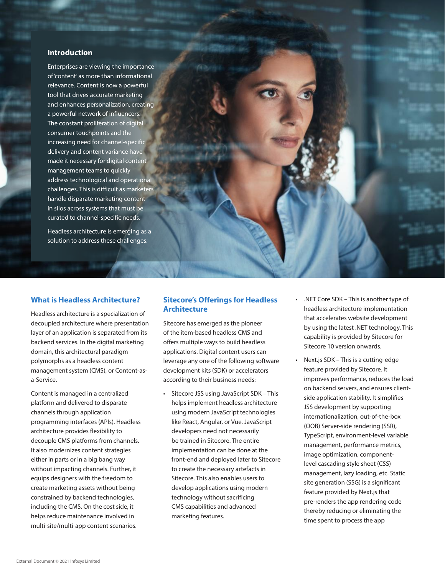# **Introduction**

Enterprises are viewing the importance of 'content' as more than informational relevance. Content is now a powerful tool that drives accurate marketing and enhances personalization, creating a powerful network of influencers. The constant proliferation of digital consumer touchpoints and the increasing need for channel-specific delivery and content variance have made it necessary for digital content management teams to quickly address technological and operational challenges. This is difficult as marketers handle disparate marketing content in silos across systems that must be curated to channel-specific needs.

Headless architecture is emerging as a solution to address these challenges.

# **What is Headless Architecture?**

Headless architecture is a specialization of decoupled architecture where presentation layer of an application is separated from its backend services. In the digital marketing domain, this architectural paradigm polymorphs as a headless content management system (CMS), or Content-asa-Service.

Content is managed in a centralized platform and delivered to disparate channels through application programming interfaces (APIs). Headless architecture provides flexibility to decouple CMS platforms from channels. It also modernizes content strategies either in parts or in a big bang way without impacting channels. Further, it equips designers with the freedom to create marketing assets without being constrained by backend technologies, including the CMS. On the cost side, it helps reduce maintenance involved in multi-site/multi-app content scenarios.

# **Sitecore's Offerings for Headless Architecture**

Sitecore has emerged as the pioneer of the item-based headless CMS and offers multiple ways to build headless applications. Digital content users can leverage any one of the following software development kits (SDK) or accelerators according to their business needs:

- • Sitecore JSS using JavaScript SDK This helps implement headless architecture using modern JavaScript technologies like React, Angular, or Vue. JavaScript developers need not necessarily be trained in Sitecore. The entire implementation can be done at the front-end and deployed later to Sitecore to create the necessary artefacts in Sitecore. This also enables users to develop applications using modern technology without sacrificing CMS capabilities and advanced marketing features.
- .NET Core SDK This is another type of headless architecture implementation that accelerates website development by using the latest .NET technology. This capability is provided by Sitecore for Sitecore 10 version onwards.
- Next.js SDK This is a cutting-edge feature provided by Sitecore. It improves performance, reduces the load on backend servers, and ensures clientside application stability. It simplifies JSS development by supporting internationalization, out-of-the-box (OOB) Server-side rendering (SSR), TypeScript, environment-level variable management, performance metrics, image optimization, componentlevel cascading style sheet (CSS) management, lazy loading, etc. Static site generation (SSG) is a significant feature provided by Next.js that pre-renders the app rendering code thereby reducing or eliminating the time spent to process the app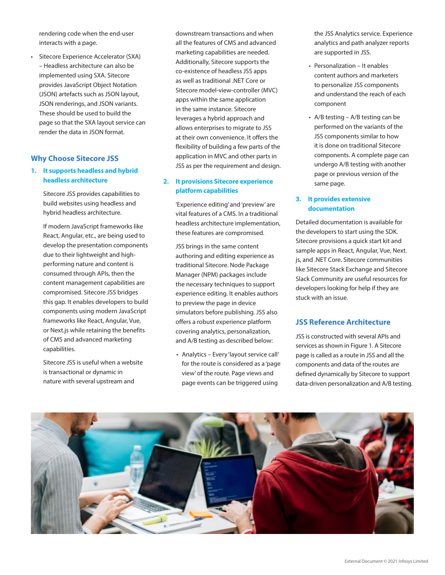rendering code when the end-user interacts with a page.

Sitecore Experience Accelerator (SXA) – Headless architecture can also be implemented using SXA. Sitecore provides JavaScript Object Notation (JSON) artefacts such as JSON layout, JSON renderings, and JSON variants. These should be used to build the page so that the SXA layout service can render the data in JSON format.

# **Why Choose Sitecore JSS**

# **1. It supports headless and hybrid headless architecture**

Sitecore JSS provides capabilities to build websites using headless and hybrid headless architecture.

If modern JavaScript frameworks like React, Angular, etc., are being used to develop the presentation components due to their lightweight and highperforming nature and content is consumed through APIs, then the content management capabilities are compromised. Sitecore JSS bridges this gap. It enables developers to build components using modern JavaScript frameworks like React, Angular, Vue, or Next.js while retaining the benefits of CMS and advanced marketing capabilities.

Sitecore JSS is useful when a website is transactional or dynamic in nature with several upstream and

downstream transactions and when all the features of CMS and advanced marketing capabilities are needed. Additionally, Sitecore supports the co-existence of headless JSS apps as well as traditional .NET Core or Sitecore model-view-controller (MVC) apps within the same application in the same instance. Sitecore leverages a hybrid approach and allows enterprises to migrate to JSS at their own convenience. It offers the flexibility of building a few parts of the application in MVC and other parts in JSS as per the requirement and design.

# **2. It provisions Sitecore experience platform capabilities**

 'Experience editing' and'preview' are vital features of a CMS. In a traditional headless architecture implementation, these features are compromised.

JSS brings in the same content authoring and editing experience as traditional Sitecore. Node Package Manager (NPM) packages include the necessary techniques to support experience editing. It enables authors to preview the page in device simulators before publishing. JSS also offers a robust experience platform covering analytics, personalization, and A/B testing as described below:

 • Analytics – Every 'layout service call' for the route is considered as a 'page view' of the route. Page views and page events can be triggered using

the JSS Analytics service. Experience analytics and path analyzer reports are supported in JSS.

- • Personalization It enables content authors and marketers to personalize JSS components and understand the reach of each component
- $A/B$  testing  $A/B$  testing can be performed on the variants of the JSS components similar to how it is done on traditional Sitecore components. A complete page can undergo A/B testing with another page or previous version of the same page.

#### **3. It provides extensive documentation**

Detailed documentation is available for the developers to start using the SDK. Sitecore provisions a quick start kit and sample apps in React, Angular, Vue, Next. js, and .NET Core. Sitecore communities like Sitecore Stack Exchange and Sitecore Slack Community are useful resources for developers looking for help if they are stuck with an issue.

# **JSS Reference Architecture**

JSS is constructed with several APIs and services as shown in Figure 1. A Sitecore page is called as a route in JSS and all the components and data of the routes are defined dynamically by Sitecore to support data-driven personalization and A/B testing.

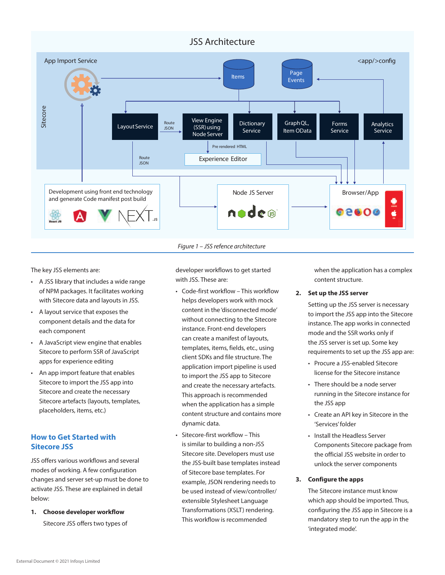

#### *Figure 1 – JSS refence architecture*

The key JSS elements are:

- • A JSS library that includes a wide range of NPM packages. It facilitates working with Sitecore data and layouts in JSS.
- • A layout service that exposes the component details and the data for each component
- • A JavaScript view engine that enables Sitecore to perform SSR of JavaScript apps for experience editing
- • An app import feature that enables Sitecore to import the JSS app into Sitecore and create the necessary Sitecore artefacts (layouts, templates, placeholders, items, etc.)

# **How to Get Started with Sitecore JSS**

JSS offers various workflows and several modes of working. A few configuration changes and server set-up must be done to activate JSS. These are explained in detail below:

**1. Choose developer workflow**

Sitecore JSS offers two types of

developer workflows to get started with JSS. These are:

- • Code-first workflow This workflow helps developers work with mock content in the 'disconnected mode' without connecting to the Sitecore instance. Front-end developers can create a manifest of layouts, templates, items, fields, etc., using client SDKs and file structure. The application import pipeline is used to import the JSS app to Sitecore and create the necessary artefacts. This approach is recommended when the application has a simple content structure and contains more dynamic data.
- • Sitecore-first workflow This is similar to building a non-JSS Sitecore site. Developers must use the JSS-built base templates instead of Sitecore base templates. For example, JSON rendering needs to be used instead of view/controller/ extensible Stylesheet Language Transformations (XSLT) rendering. This workflow is recommended

when the application has a complex content structure.

#### **2. Set up the JSS server**

Setting up the JSS server is necessary to import the JSS app into the Sitecore instance. The app works in connected mode and the SSR works only if the JSS server is set up. Some key requirements to set up the JSS app are:

- Procure a JSS-enabled Sitecore license for the Sitecore instance
- There should be a node server running in the Sitecore instance for the JSS app
- • Create an API key in Sitecore in the 'Services' folder
- • Install the Headless Server Components Sitecore package from the official JSS website in order to unlock the server components

#### **3. Configure the apps**

The Sitecore instance must know which app should be imported. Thus, configuring the JSS app in Sitecore is a mandatory step to run the app in the 'integrated mode'.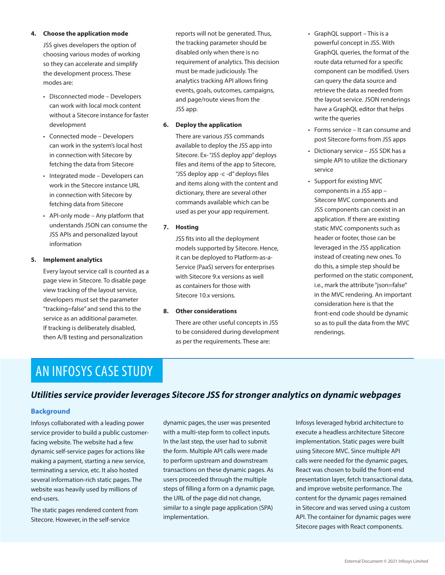#### **4. Choose the application mode**

JSS gives developers the option of choosing various modes of working so they can accelerate and simplify the development process. These modes are:

- • Disconnected mode Developers can work with local mock content without a Sitecore instance for faster development
- • Connected mode Developers can work in the system's local host in connection with Sitecore by fetching the data from Sitecore
- • Integrated mode Developers can work in the Sitecore instance URL in connection with Sitecore by fetching data from Sitecore
- • API-only mode Any platform that understands JSON can consume the JSS APIs and personalized layout information

#### **5. Implement analytics**

 Every layout service call is counted as a page view in Sitecore. To disable page view tracking of the layout service, developers must set the parameter "tracking=false" and send this to the service as an additional parameter. If tracking is deliberately disabled, then A/B testing and personalization

reports will not be generated. Thus, the tracking parameter should be disabled only when there is no requirement of analytics. This decision must be made judiciously. The analytics tracking API allows firing events, goals, outcomes, campaigns, and page/route views from the JSS app.

#### **6. Deploy the application**

There are various JSS commands available to deploy the JSS app into Sitecore. Ex-"JSS deploy app"deploys files and items of the app to Sitecore, "JSS deploy app -c -d" deploys files and items along with the content and dictionary, there are several other commands available which can be used as per your app requirement.

#### **7. Hosting**

JSS fits into all the deployment models supported by Sitecore. Hence, it can be deployed to Platform-as-a-Service (PaaS) servers for enterprises with Sitecore 9.x versions as well as containers for those with Sitecore 10.x versions.

# **8. Other considerations**

There are other useful concepts in JSS to be considered during development as per the requirements. These are:

- GraphQL support This is a powerful concept in JSS. With GraphQL queries, the format of the route data returned for a specific component can be modified. Users can query the data source and retrieve the data as needed from the layout service. JSON renderings have a GraphQL editor that helps write the queries
- • Forms service It can consume and post Sitecore forms from JSS apps
- Dictionary service JSS SDK has a simple API to utilize the dictionary service
- • Support for existing MVC components in a JSS app – Sitecore MVC components and JSS components can coexist in an application. If there are existing static MVC components such as header or footer, those can be leveraged in the JSS application instead of creating new ones. To do this, a simple step should be performed on the static component, i.e., mark the attribute "json=false" in the MVC rendering. An important consideration here is that the front-end code should be dynamic so as to pull the data from the MVC renderings.

# AN INFOSYS CASE STUDY

# *Utilities service provider leverages Sitecore JSS for stronger analytics on dynamic webpages*

#### **Background**

Infosys collaborated with a leading power service provider to build a public customerfacing website. The website had a few dynamic self-service pages for actions like making a payment, starting a new service, terminating a service, etc. It also hosted several information-rich static pages. The website was heavily used by millions of end-users.

The static pages rendered content from Sitecore. However, in the self-service

dynamic pages, the user was presented with a multi-step form to collect inputs. In the last step, the user had to submit the form. Multiple API calls were made to perform upstream and downstream transactions on these dynamic pages. As users proceeded through the multiple steps of filling a form on a dynamic page, the URL of the page did not change, similar to a single page application (SPA) implementation.

Infosys leveraged hybrid architecture to execute a headless architecture Sitecore implementation. Static pages were built using Sitecore MVC. Since multiple API calls were needed for the dynamic pages, React was chosen to build the front-end presentation layer, fetch transactional data, and improve website performance. The content for the dynamic pages remained in Sitecore and was served using a custom API. The container for dynamic pages were Sitecore pages with React components.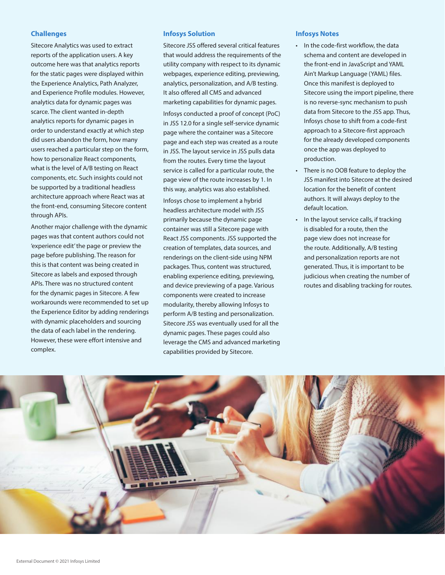## **Challenges**

Sitecore Analytics was used to extract reports of the application users. A key outcome here was that analytics reports for the static pages were displayed within the Experience Analytics, Path Analyzer, and Experience Profile modules. However, analytics data for dynamic pages was scarce. The client wanted in-depth analytics reports for dynamic pages in order to understand exactly at which step did users abandon the form, how many users reached a particular step on the form, how to personalize React components, what is the level of A/B testing on React components, etc. Such insights could not be supported by a traditional headless architecture approach where React was at the front-end, consuming Sitecore content through APIs.

Another major challenge with the dynamic pages was that content authors could not 'experience edit' the page or preview the page before publishing. The reason for this is that content was being created in Sitecore as labels and exposed through APIs. There was no structured content for the dynamic pages in Sitecore. A few workarounds were recommended to set up the Experience Editor by adding renderings with dynamic placeholders and sourcing the data of each label in the rendering. However, these were effort intensive and complex.

# **Infosys Solution**

Sitecore JSS offered several critical features that would address the requirements of the utility company with respect to its dynamic webpages, experience editing, previewing, analytics, personalization, and A/B testing. It also offered all CMS and advanced marketing capabilities for dynamic pages.

Infosys conducted a proof of concept (PoC) in JSS 12.0 for a single self-service dynamic page where the container was a Sitecore page and each step was created as a route in JSS. The layout service in JSS pulls data from the routes. Every time the layout service is called for a particular route, the page view of the route increases by 1. In this way, analytics was also established.

Infosys chose to implement a hybrid headless architecture model with JSS primarily because the dynamic page container was still a Sitecore page with React JSS components. JSS supported the creation of templates, data sources, and renderings on the client-side using NPM packages. Thus, content was structured, enabling experience editing, previewing, and device previewing of a page. Various components were created to increase modularity, thereby allowing Infosys to perform A/B testing and personalization. Sitecore JSS was eventually used for all the dynamic pages. These pages could also leverage the CMS and advanced marketing capabilities provided by Sitecore.

#### **Infosys Notes**

- In the code-first workflow, the data schema and content are developed in the front-end in JavaScript and YAML Ain't Markup Language (YAML) files. Once this manifest is deployed to Sitecore using the import pipeline, there is no reverse-sync mechanism to push data from Sitecore to the JSS app. Thus, Infosys chose to shift from a code-first approach to a Sitecore-first approach for the already developed components once the app was deployed to production.
- • There is no OOB feature to deploy the JSS manifest into Sitecore at the desired location for the benefit of content authors. It will always deploy to the default location.
- In the layout service calls, if tracking is disabled for a route, then the page view does not increase for the route. Additionally, A/B testing and personalization reports are not generated. Thus, it is important to be judicious when creating the number of routes and disabling tracking for routes.

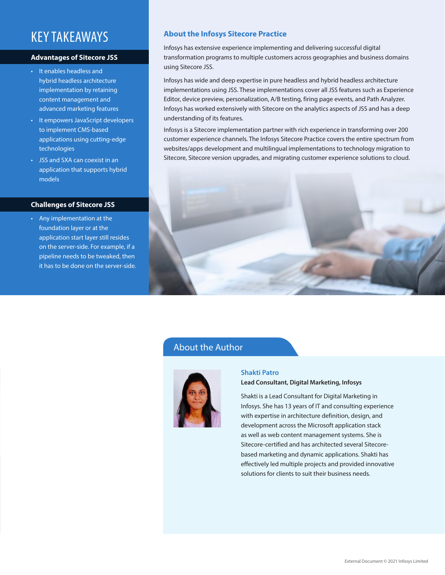# KEY TAKEAWAYS

#### **Advantages of Sitecore JSS**

- • It enables headless and hybrid headless architecture implementation by retaining content management and advanced marketing features
- It empowers JavaScript developers to implement CMS-based applications using cutting-edge technologies
- • JSS and SXA can coexist in an application that supports hybrid models

#### **Challenges of Sitecore JSS**

• Any implementation at the foundation layer or at the application start layer still resides on the server-side. For example, if a pipeline needs to be tweaked, then it has to be done on the server-side.

# **About the Infosys Sitecore Practice**

Infosys has extensive experience implementing and delivering successful digital transformation programs to multiple customers across geographies and business domains using Sitecore JSS.

Infosys has wide and deep expertise in pure headless and hybrid headless architecture implementations using JSS. These implementations cover all JSS features such as Experience Editor, device preview, personalization, A/B testing, firing page events, and Path Analyzer. Infosys has worked extensively with Sitecore on the analytics aspects of JSS and has a deep understanding of its features.

Infosys is a Sitecore implementation partner with rich experience in transforming over 200 customer experience channels. The Infosys Sitecore Practice covers the entire spectrum from websites/apps development and multilingual implementations to technology migration to Sitecore, Sitecore version upgrades, and migrating customer experience solutions to cloud.



# About the Author



# **Shakti Patro**

# **Lead Consultant, Digital Marketing, Infosys**

Shakti is a Lead Consultant for Digital Marketing in Infosys. She has 13 years of IT and consulting experience with expertise in architecture definition, design, and development across the Microsoft application stack as well as web content management systems. She is Sitecore-certified and has architected several Sitecorebased marketing and dynamic applications. Shakti has effectively led multiple projects and provided innovative solutions for clients to suit their business needs.